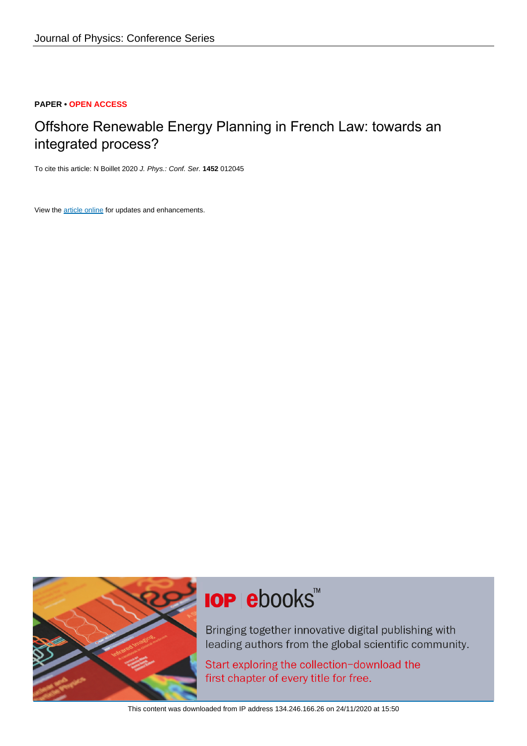# **PAPER • OPEN ACCESS**

# Offshore Renewable Energy Planning in French Law: towards an integrated process?

To cite this article: N Boillet 2020 J. Phys.: Conf. Ser. **1452** 012045

View the [article online](https://doi.org/10.1088/1742-6596/1452/1/012045) for updates and enhancements.



# **IOP ebooks**™

Bringing together innovative digital publishing with leading authors from the global scientific community.

Start exploring the collection-download the first chapter of every title for free.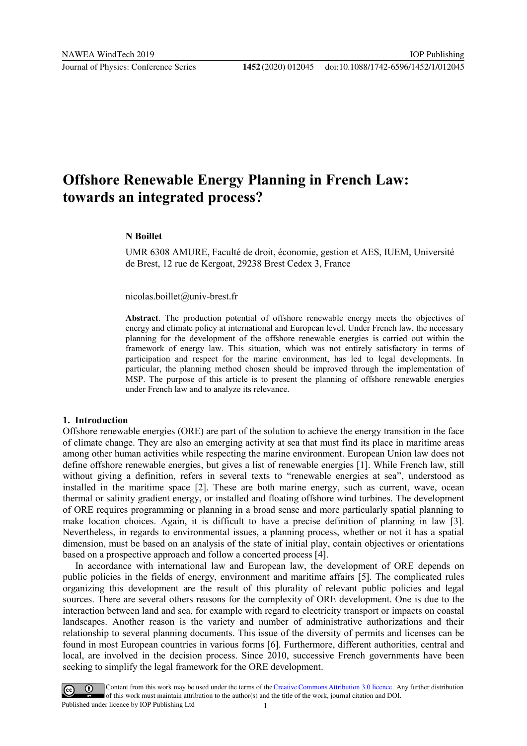# **Offshore Renewable Energy Planning in French Law: towards an integrated process?**

## **N Boillet**

UMR 6308 AMURE, Faculté de droit, économie, gestion et AES, IUEM, Université de Brest, 12 rue de Kergoat, 29238 Brest Cedex 3, France

nicolas.boillet@univ-brest.fr

**Abstract**. The production potential of offshore renewable energy meets the objectives of energy and climate policy at international and European level. Under French law, the necessary planning for the development of the offshore renewable energies is carried out within the framework of energy law. This situation, which was not entirely satisfactory in terms of participation and respect for the marine environment, has led to legal developments. In particular, the planning method chosen should be improved through the implementation of MSP. The purpose of this article is to present the planning of offshore renewable energies under French law and to analyze its relevance.

## **1. Introduction**

Offshore renewable energies (ORE) are part of the solution to achieve the energy transition in the face of climate change. They are also an emerging activity at sea that must find its place in maritime areas among other human activities while respecting the marine environment. European Union law does not define offshore renewable energies, but gives a list of renewable energies [1]. While French law, still without giving a definition, refers in several texts to "renewable energies at sea", understood as installed in the maritime space [2]. These are both marine energy, such as current, wave, ocean thermal or salinity gradient energy, or installed and floating offshore wind turbines. The development of ORE requires programming or planning in a broad sense and more particularly spatial planning to make location choices. Again, it is difficult to have a precise definition of planning in law [3]. Nevertheless, in regards to environmental issues, a planning process, whether or not it has a spatial dimension, must be based on an analysis of the state of initial play, contain objectives or orientations based on a prospective approach and follow a concerted process [4].

In accordance with international law and European law, the development of ORE depends on public policies in the fields of energy, environment and maritime affairs [5]. The complicated rules organizing this development are the result of this plurality of relevant public policies and legal sources. There are several others reasons for the complexity of ORE development. One is due to the interaction between land and sea, for example with regard to electricity transport or impacts on coastal landscapes. Another reason is the variety and number of administrative authorizations and their relationship to several planning documents. This issue of the diversity of permits and licenses can be found in most European countries in various forms [6]. Furthermore, different authorities, central and local, are involved in the decision process. Since 2010, successive French governments have been seeking to simplify the legal framework for the ORE development.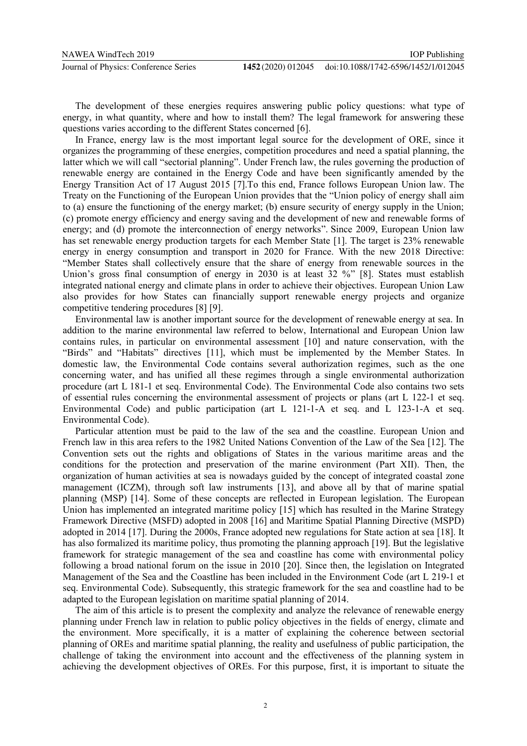The development of these energies requires answering public policy questions: what type of energy, in what quantity, where and how to install them? The legal framework for answering these questions varies according to the different States concerned [6].

In France, energy law is the most important legal source for the development of ORE, since it organizes the programming of these energies, competition procedures and need a spatial planning, the latter which we will call "sectorial planning". Under French law, the rules governing the production of renewable energy are contained in the Energy Code and have been significantly amended by the Energy Transition Act of 17 August 2015 [7].To this end, France follows European Union law. The Treaty on the Functioning of the European Union provides that the "Union policy of energy shall aim to (a) ensure the functioning of the energy market; (b) ensure security of energy supply in the Union; (c) promote energy efficiency and energy saving and the development of new and renewable forms of energy; and (d) promote the interconnection of energy networks". Since 2009, European Union law has set renewable energy production targets for each Member State [1]. The target is 23% renewable energy in energy consumption and transport in 2020 for France. With the new 2018 Directive: "Member States shall collectively ensure that the share of energy from renewable sources in the Union's gross final consumption of energy in 2030 is at least 32 %" [8]. States must establish integrated national energy and climate plans in order to achieve their objectives. European Union Law also provides for how States can financially support renewable energy projects and organize competitive tendering procedures [8] [9].

Environmental law is another important source for the development of renewable energy at sea. In addition to the marine environmental law referred to below, International and European Union law contains rules, in particular on environmental assessment [10] and nature conservation, with the "Birds" and "Habitats" directives [11], which must be implemented by the Member States. In domestic law, the Environmental Code contains several authorization regimes, such as the one concerning water, and has unified all these regimes through a single environmental authorization procedure (art L 181-1 et seq. Environmental Code). The Environmental Code also contains two sets of essential rules concerning the environmental assessment of projects or plans (art L 122-1 et seq. Environmental Code) and public participation (art L 121-1-A et seq. and L 123-1-A et seq. Environmental Code).

Particular attention must be paid to the law of the sea and the coastline. European Union and French law in this area refers to the 1982 United Nations Convention of the Law of the Sea [12]. The Convention sets out the rights and obligations of States in the various maritime areas and the conditions for the protection and preservation of the marine environment (Part XII). Then, the organization of human activities at sea is nowadays guided by the concept of integrated coastal zone management (ICZM), through soft law instruments [13], and above all by that of marine spatial planning (MSP) [14]. Some of these concepts are reflected in European legislation. The European Union has implemented an integrated maritime policy [15] which has resulted in the Marine Strategy Framework Directive (MSFD) adopted in 2008 [16] and Maritime Spatial Planning Directive (MSPD) adopted in 2014 [17]. During the 2000s, France adopted new regulations for State action at sea [18]. It has also formalized its maritime policy, thus promoting the planning approach [19]. But the legislative framework for strategic management of the sea and coastline has come with environmental policy following a broad national forum on the issue in 2010 [20]. Since then, the legislation on Integrated Management of the Sea and the Coastline has been included in the Environment Code (art L 219-1 et seq. Environmental Code). Subsequently, this strategic framework for the sea and coastline had to be adapted to the European legislation on maritime spatial planning of 2014.

The aim of this article is to present the complexity and analyze the relevance of renewable energy planning under French law in relation to public policy objectives in the fields of energy, climate and the environment. More specifically, it is a matter of explaining the coherence between sectorial planning of OREs and maritime spatial planning, the reality and usefulness of public participation, the challenge of taking the environment into account and the effectiveness of the planning system in achieving the development objectives of OREs. For this purpose, first, it is important to situate the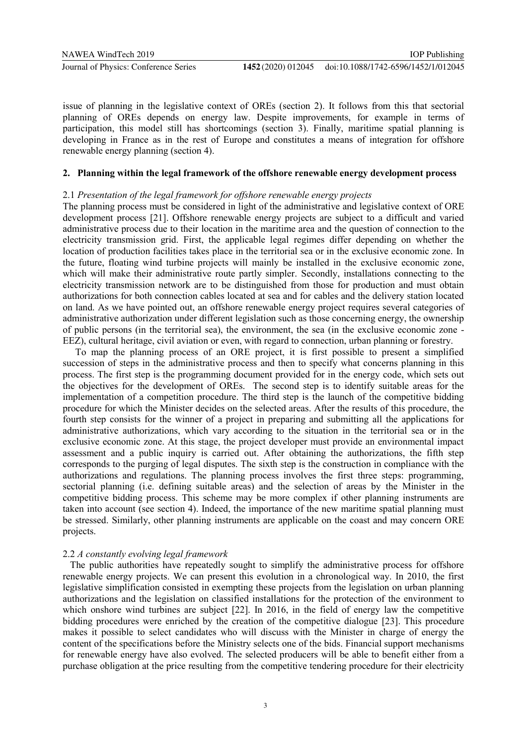issue of planning in the legislative context of OREs (section 2). It follows from this that sectorial planning of OREs depends on energy law. Despite improvements, for example in terms of participation, this model still has shortcomings (section 3). Finally, maritime spatial planning is developing in France as in the rest of Europe and constitutes a means of integration for offshore renewable energy planning (section 4).

# **2. Planning within the legal framework of the offshore renewable energy development process**

# 2.1 *Presentation of the legal framework for offshore renewable energy projects*

The planning process must be considered in light of the administrative and legislative context of ORE development process [21]. Offshore renewable energy projects are subject to a difficult and varied administrative process due to their location in the maritime area and the question of connection to the electricity transmission grid. First, the applicable legal regimes differ depending on whether the location of production facilities takes place in the territorial sea or in the exclusive economic zone. In the future, floating wind turbine projects will mainly be installed in the exclusive economic zone, which will make their administrative route partly simpler. Secondly, installations connecting to the electricity transmission network are to be distinguished from those for production and must obtain authorizations for both connection cables located at sea and for cables and the delivery station located on land. As we have pointed out, an offshore renewable energy project requires several categories of administrative authorization under different legislation such as those concerning energy, the ownership of public persons (in the territorial sea), the environment, the sea (in the exclusive economic zone - EEZ), cultural heritage, civil aviation or even, with regard to connection, urban planning or forestry.

To map the planning process of an ORE project, it is first possible to present a simplified succession of steps in the administrative process and then to specify what concerns planning in this process. The first step is the programming document provided for in the energy code, which sets out the objectives for the development of OREs. The second step is to identify suitable areas for the implementation of a competition procedure. The third step is the launch of the competitive bidding procedure for which the Minister decides on the selected areas. After the results of this procedure, the fourth step consists for the winner of a project in preparing and submitting all the applications for administrative authorizations, which vary according to the situation in the territorial sea or in the exclusive economic zone. At this stage, the project developer must provide an environmental impact assessment and a public inquiry is carried out. After obtaining the authorizations, the fifth step corresponds to the purging of legal disputes. The sixth step is the construction in compliance with the authorizations and regulations. The planning process involves the first three steps: programming, sectorial planning (i.e. defining suitable areas) and the selection of areas by the Minister in the competitive bidding process. This scheme may be more complex if other planning instruments are taken into account (see section 4). Indeed, the importance of the new maritime spatial planning must be stressed. Similarly, other planning instruments are applicable on the coast and may concern ORE projects.

# 2.2 *A constantly evolving legal framework*

 The public authorities have repeatedly sought to simplify the administrative process for offshore renewable energy projects. We can present this evolution in a chronological way. In 2010, the first legislative simplification consisted in exempting these projects from the legislation on urban planning authorizations and the legislation on classified installations for the protection of the environment to which onshore wind turbines are subject [22]. In 2016, in the field of energy law the competitive bidding procedures were enriched by the creation of the competitive dialogue [23]. This procedure makes it possible to select candidates who will discuss with the Minister in charge of energy the content of the specifications before the Ministry selects one of the bids. Financial support mechanisms for renewable energy have also evolved. The selected producers will be able to benefit either from a purchase obligation at the price resulting from the competitive tendering procedure for their electricity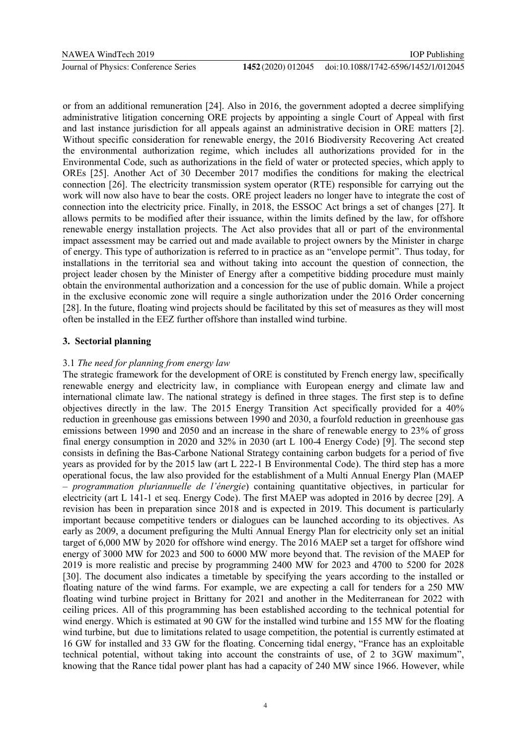or from an additional remuneration [24]. Also in 2016, the government adopted a decree simplifying administrative litigation concerning ORE projects by appointing a single Court of Appeal with first and last instance jurisdiction for all appeals against an administrative decision in ORE matters [2]. Without specific consideration for renewable energy, the 2016 Biodiversity Recovering Act created the environmental authorization regime, which includes all authorizations provided for in the Environmental Code, such as authorizations in the field of water or protected species, which apply to OREs [25]. Another Act of 30 December 2017 modifies the conditions for making the electrical connection [26]. The electricity transmission system operator (RTE) responsible for carrying out the work will now also have to bear the costs. ORE project leaders no longer have to integrate the cost of connection into the electricity price. Finally, in 2018, the ESSOC Act brings a set of changes [27]. It allows permits to be modified after their issuance, within the limits defined by the law, for offshore renewable energy installation projects. The Act also provides that all or part of the environmental impact assessment may be carried out and made available to project owners by the Minister in charge of energy. This type of authorization is referred to in practice as an "envelope permit". Thus today, for installations in the territorial sea and without taking into account the question of connection, the project leader chosen by the Minister of Energy after a competitive bidding procedure must mainly obtain the environmental authorization and a concession for the use of public domain. While a project in the exclusive economic zone will require a single authorization under the 2016 Order concerning [28]. In the future, floating wind projects should be facilitated by this set of measures as they will most often be installed in the EEZ further offshore than installed wind turbine.

# **3. Sectorial planning**

# 3.1 *The need for planning from energy law*

The strategic framework for the development of ORE is constituted by French energy law, specifically renewable energy and electricity law, in compliance with European energy and climate law and international climate law. The national strategy is defined in three stages. The first step is to define objectives directly in the law. The 2015 Energy Transition Act specifically provided for a 40% reduction in greenhouse gas emissions between 1990 and 2030, a fourfold reduction in greenhouse gas emissions between 1990 and 2050 and an increase in the share of renewable energy to 23% of gross final energy consumption in 2020 and 32% in 2030 (art L 100-4 Energy Code) [9]. The second step consists in defining the Bas-Carbone National Strategy containing carbon budgets for a period of five years as provided for by the 2015 law (art L 222-1 B Environmental Code). The third step has a more operational focus, the law also provided for the establishment of a Multi Annual Energy Plan (MAEP – *programmation pluriannuelle de l'énergie*) containing quantitative objectives, in particular for electricity (art L 141-1 et seq. Energy Code). The first MAEP was adopted in 2016 by decree [29]. A revision has been in preparation since 2018 and is expected in 2019. This document is particularly important because competitive tenders or dialogues can be launched according to its objectives. As early as 2009, a document prefiguring the Multi Annual Energy Plan for electricity only set an initial target of 6,000 MW by 2020 for offshore wind energy. The 2016 MAEP set a target for offshore wind energy of 3000 MW for 2023 and 500 to 6000 MW more beyond that. The revision of the MAEP for 2019 is more realistic and precise by programming 2400 MW for 2023 and 4700 to 5200 for 2028 [30]. The document also indicates a timetable by specifying the years according to the installed or floating nature of the wind farms. For example, we are expecting a call for tenders for a 250 MW floating wind turbine project in Brittany for 2021 and another in the Mediterranean for 2022 with ceiling prices. All of this programming has been established according to the technical potential for wind energy. Which is estimated at 90 GW for the installed wind turbine and 155 MW for the floating wind turbine, but due to limitations related to usage competition, the potential is currently estimated at 16 GW for installed and 33 GW for the floating. Concerning tidal energy, "France has an exploitable technical potential, without taking into account the constraints of use, of 2 to 3GW maximum", knowing that the Rance tidal power plant has had a capacity of 240 MW since 1966. However, while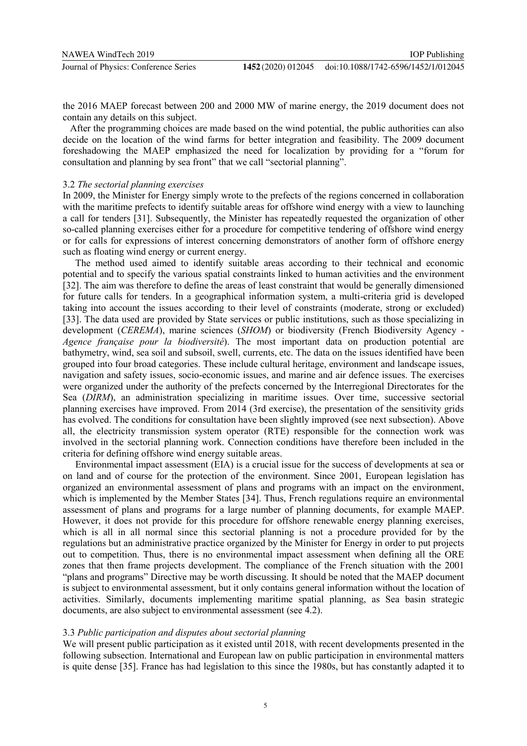the 2016 MAEP forecast between 200 and 2000 MW of marine energy, the 2019 document does not contain any details on this subject.

 After the programming choices are made based on the wind potential, the public authorities can also decide on the location of the wind farms for better integration and feasibility. The 2009 document foreshadowing the MAEP emphasized the need for localization by providing for a "forum for consultation and planning by sea front" that we call "sectorial planning".

## 3.2 *The sectorial planning exercises*

In 2009, the Minister for Energy simply wrote to the prefects of the regions concerned in collaboration with the maritime prefects to identify suitable areas for offshore wind energy with a view to launching a call for tenders [31]. Subsequently, the Minister has repeatedly requested the organization of other so-called planning exercises either for a procedure for competitive tendering of offshore wind energy or for calls for expressions of interest concerning demonstrators of another form of offshore energy such as floating wind energy or current energy.

The method used aimed to identify suitable areas according to their technical and economic potential and to specify the various spatial constraints linked to human activities and the environment [32]. The aim was therefore to define the areas of least constraint that would be generally dimensioned for future calls for tenders. In a geographical information system, a multi-criteria grid is developed taking into account the issues according to their level of constraints (moderate, strong or excluded) [33]. The data used are provided by State services or public institutions, such as those specializing in development (*CEREMA*), marine sciences (*SHOM*) or biodiversity (French Biodiversity Agency - *Agence française pour la biodiversité*). The most important data on production potential are bathymetry, wind, sea soil and subsoil, swell, currents, etc. The data on the issues identified have been grouped into four broad categories. These include cultural heritage, environment and landscape issues, navigation and safety issues, socio-economic issues, and marine and air defence issues. The exercises were organized under the authority of the prefects concerned by the Interregional Directorates for the Sea (*DIRM*), an administration specializing in maritime issues. Over time, successive sectorial planning exercises have improved. From 2014 (3rd exercise), the presentation of the sensitivity grids has evolved. The conditions for consultation have been slightly improved (see next subsection). Above all, the electricity transmission system operator (RTE) responsible for the connection work was involved in the sectorial planning work. Connection conditions have therefore been included in the criteria for defining offshore wind energy suitable areas.

Environmental impact assessment (EIA) is a crucial issue for the success of developments at sea or on land and of course for the protection of the environment. Since 2001, European legislation has organized an environmental assessment of plans and programs with an impact on the environment, which is implemented by the Member States [34]. Thus, French regulations require an environmental assessment of plans and programs for a large number of planning documents, for example MAEP. However, it does not provide for this procedure for offshore renewable energy planning exercises, which is all in all normal since this sectorial planning is not a procedure provided for by the regulations but an administrative practice organized by the Minister for Energy in order to put projects out to competition. Thus, there is no environmental impact assessment when defining all the ORE zones that then frame projects development. The compliance of the French situation with the 2001 "plans and programs" Directive may be worth discussing. It should be noted that the MAEP document is subject to environmental assessment, but it only contains general information without the location of activities. Similarly, documents implementing maritime spatial planning, as Sea basin strategic documents, are also subject to environmental assessment (see 4.2).

## 3.3 *Public participation and disputes about sectorial planning*

We will present public participation as it existed until 2018, with recent developments presented in the following subsection. International and European law on public participation in environmental matters is quite dense [35]. France has had legislation to this since the 1980s, but has constantly adapted it to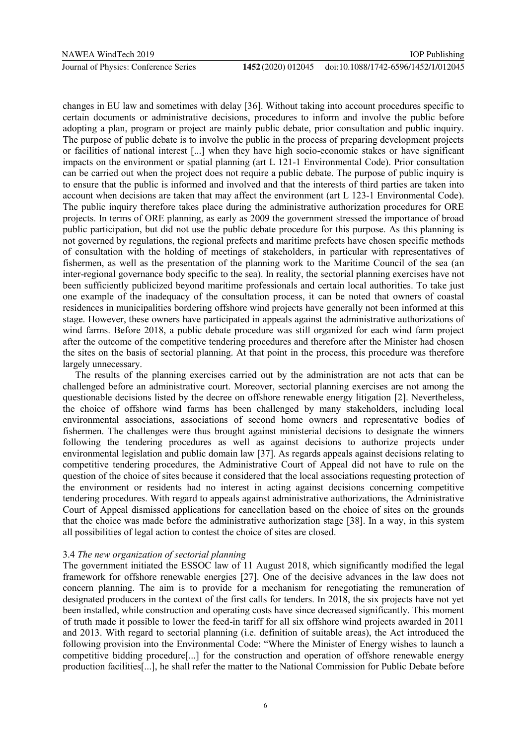changes in EU law and sometimes with delay [36]. Without taking into account procedures specific to certain documents or administrative decisions, procedures to inform and involve the public before adopting a plan, program or project are mainly public debate, prior consultation and public inquiry. The purpose of public debate is to involve the public in the process of preparing development projects or facilities of national interest [...] when they have high socio-economic stakes or have significant impacts on the environment or spatial planning (art L 121-1 Environmental Code). Prior consultation can be carried out when the project does not require a public debate. The purpose of public inquiry is to ensure that the public is informed and involved and that the interests of third parties are taken into account when decisions are taken that may affect the environment (art L 123-1 Environmental Code). The public inquiry therefore takes place during the administrative authorization procedures for ORE projects. In terms of ORE planning, as early as 2009 the government stressed the importance of broad public participation, but did not use the public debate procedure for this purpose. As this planning is not governed by regulations, the regional prefects and maritime prefects have chosen specific methods of consultation with the holding of meetings of stakeholders, in particular with representatives of fishermen, as well as the presentation of the planning work to the Maritime Council of the sea (an inter-regional governance body specific to the sea). In reality, the sectorial planning exercises have not been sufficiently publicized beyond maritime professionals and certain local authorities. To take just one example of the inadequacy of the consultation process, it can be noted that owners of coastal residences in municipalities bordering offshore wind projects have generally not been informed at this stage. However, these owners have participated in appeals against the administrative authorizations of wind farms. Before 2018, a public debate procedure was still organized for each wind farm project after the outcome of the competitive tendering procedures and therefore after the Minister had chosen the sites on the basis of sectorial planning. At that point in the process, this procedure was therefore largely unnecessary.

The results of the planning exercises carried out by the administration are not acts that can be challenged before an administrative court. Moreover, sectorial planning exercises are not among the questionable decisions listed by the decree on offshore renewable energy litigation [2]. Nevertheless, the choice of offshore wind farms has been challenged by many stakeholders, including local environmental associations, associations of second home owners and representative bodies of fishermen. The challenges were thus brought against ministerial decisions to designate the winners following the tendering procedures as well as against decisions to authorize projects under environmental legislation and public domain law [37]. As regards appeals against decisions relating to competitive tendering procedures, the Administrative Court of Appeal did not have to rule on the question of the choice of sites because it considered that the local associations requesting protection of the environment or residents had no interest in acting against decisions concerning competitive tendering procedures. With regard to appeals against administrative authorizations, the Administrative Court of Appeal dismissed applications for cancellation based on the choice of sites on the grounds that the choice was made before the administrative authorization stage [38]. In a way, in this system all possibilities of legal action to contest the choice of sites are closed.

# 3.4 *The new organization of sectorial planning*

The government initiated the ESSOC law of 11 August 2018, which significantly modified the legal framework for offshore renewable energies [27]. One of the decisive advances in the law does not concern planning. The aim is to provide for a mechanism for renegotiating the remuneration of designated producers in the context of the first calls for tenders. In 2018, the six projects have not yet been installed, while construction and operating costs have since decreased significantly. This moment of truth made it possible to lower the feed-in tariff for all six offshore wind projects awarded in 2011 and 2013. With regard to sectorial planning (i.e. definition of suitable areas), the Act introduced the following provision into the Environmental Code: "Where the Minister of Energy wishes to launch a competitive bidding procedure[...] for the construction and operation of offshore renewable energy production facilities[...], he shall refer the matter to the National Commission for Public Debate before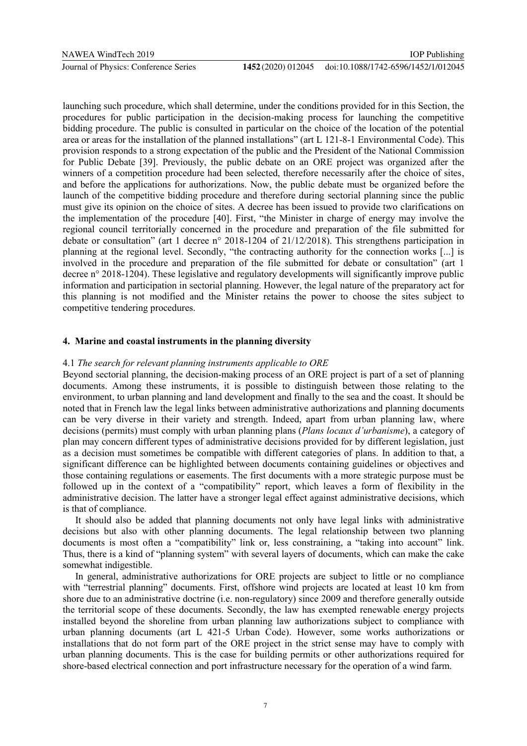launching such procedure, which shall determine, under the conditions provided for in this Section, the procedures for public participation in the decision-making process for launching the competitive bidding procedure. The public is consulted in particular on the choice of the location of the potential area or areas for the installation of the planned installations" (art L 121-8-1 Environmental Code). This provision responds to a strong expectation of the public and the President of the National Commission for Public Debate [39]. Previously, the public debate on an ORE project was organized after the winners of a competition procedure had been selected, therefore necessarily after the choice of sites, and before the applications for authorizations. Now, the public debate must be organized before the launch of the competitive bidding procedure and therefore during sectorial planning since the public must give its opinion on the choice of sites. A decree has been issued to provide two clarifications on the implementation of the procedure [40]. First, "the Minister in charge of energy may involve the regional council territorially concerned in the procedure and preparation of the file submitted for debate or consultation" (art 1 decree n° 2018-1204 of 21/12/2018). This strengthens participation in planning at the regional level. Secondly, "the contracting authority for the connection works [...] is involved in the procedure and preparation of the file submitted for debate or consultation" (art 1 decree n° 2018-1204). These legislative and regulatory developments will significantly improve public information and participation in sectorial planning. However, the legal nature of the preparatory act for this planning is not modified and the Minister retains the power to choose the sites subject to competitive tendering procedures.

# **4. Marine and coastal instruments in the planning diversity**

# 4.1 *The search for relevant planning instruments applicable to ORE*

Beyond sectorial planning, the decision-making process of an ORE project is part of a set of planning documents. Among these instruments, it is possible to distinguish between those relating to the environment, to urban planning and land development and finally to the sea and the coast. It should be noted that in French law the legal links between administrative authorizations and planning documents can be very diverse in their variety and strength. Indeed, apart from urban planning law, where decisions (permits) must comply with urban planning plans (*Plans locaux d'urbanisme*), a category of plan may concern different types of administrative decisions provided for by different legislation, just as a decision must sometimes be compatible with different categories of plans. In addition to that, a significant difference can be highlighted between documents containing guidelines or objectives and those containing regulations or easements. The first documents with a more strategic purpose must be followed up in the context of a "compatibility" report, which leaves a form of flexibility in the administrative decision. The latter have a stronger legal effect against administrative decisions, which is that of compliance.

It should also be added that planning documents not only have legal links with administrative decisions but also with other planning documents. The legal relationship between two planning documents is most often a "compatibility" link or, less constraining, a "taking into account" link. Thus, there is a kind of "planning system" with several layers of documents, which can make the cake somewhat indigestible.

In general, administrative authorizations for ORE projects are subject to little or no compliance with "terrestrial planning" documents. First, offshore wind projects are located at least 10 km from shore due to an administrative doctrine (i.e. non-regulatory) since 2009 and therefore generally outside the territorial scope of these documents. Secondly, the law has exempted renewable energy projects installed beyond the shoreline from urban planning law authorizations subject to compliance with urban planning documents (art L 421-5 Urban Code). However, some works authorizations or installations that do not form part of the ORE project in the strict sense may have to comply with urban planning documents. This is the case for building permits or other authorizations required for shore-based electrical connection and port infrastructure necessary for the operation of a wind farm.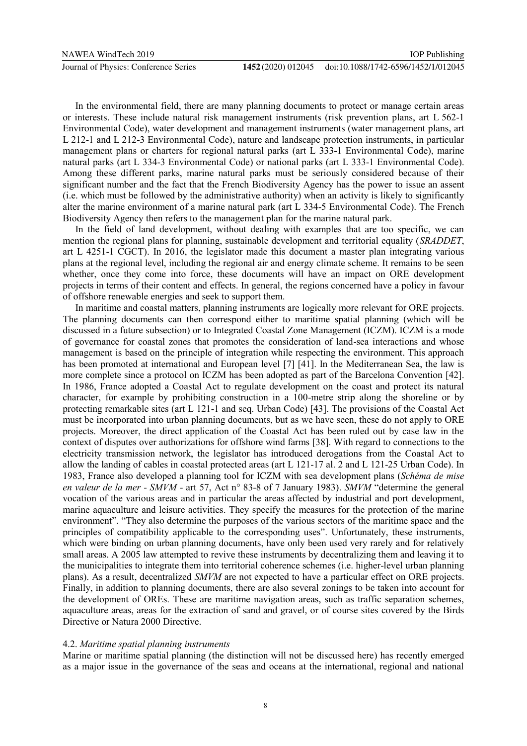In the environmental field, there are many planning documents to protect or manage certain areas or interests. These include natural risk management instruments (risk prevention plans, art L 562-1 Environmental Code), water development and management instruments (water management plans, art L 212-1 and L 212-3 Environmental Code), nature and landscape protection instruments, in particular management plans or charters for regional natural parks (art L 333-1 Environmental Code), marine natural parks (art L 334-3 Environmental Code) or national parks (art L 333-1 Environmental Code). Among these different parks, marine natural parks must be seriously considered because of their significant number and the fact that the French Biodiversity Agency has the power to issue an assent (i.e. which must be followed by the administrative authority) when an activity is likely to significantly alter the marine environment of a marine natural park (art L 334-5 Environmental Code). The French Biodiversity Agency then refers to the management plan for the marine natural park.

In the field of land development, without dealing with examples that are too specific, we can mention the regional plans for planning, sustainable development and territorial equality (*SRADDET*, art L 4251-1 CGCT). In 2016, the legislator made this document a master plan integrating various plans at the regional level, including the regional air and energy climate scheme. It remains to be seen whether, once they come into force, these documents will have an impact on ORE development projects in terms of their content and effects. In general, the regions concerned have a policy in favour of offshore renewable energies and seek to support them.

In maritime and coastal matters, planning instruments are logically more relevant for ORE projects. The planning documents can then correspond either to maritime spatial planning (which will be discussed in a future subsection) or to Integrated Coastal Zone Management (ICZM). ICZM is a mode of governance for coastal zones that promotes the consideration of land-sea interactions and whose management is based on the principle of integration while respecting the environment. This approach has been promoted at international and European level [7] [41]. In the Mediterranean Sea, the law is more complete since a protocol on ICZM has been adopted as part of the Barcelona Convention [42]. In 1986, France adopted a Coastal Act to regulate development on the coast and protect its natural character, for example by prohibiting construction in a 100-metre strip along the shoreline or by protecting remarkable sites (art L 121-1 and seq. Urban Code) [43]. The provisions of the Coastal Act must be incorporated into urban planning documents, but as we have seen, these do not apply to ORE projects. Moreover, the direct application of the Coastal Act has been ruled out by case law in the context of disputes over authorizations for offshore wind farms [38]. With regard to connections to the electricity transmission network, the legislator has introduced derogations from the Coastal Act to allow the landing of cables in coastal protected areas (art L 121-17 al. 2 and L 121-25 Urban Code). In 1983, France also developed a planning tool for ICZM with sea development plans (*Schéma de mise en valeur de la mer* - *SMVM* - art 57, Act n° 83-8 of 7 January 1983). *SMVM* "determine the general vocation of the various areas and in particular the areas affected by industrial and port development, marine aquaculture and leisure activities. They specify the measures for the protection of the marine environment". "They also determine the purposes of the various sectors of the maritime space and the principles of compatibility applicable to the corresponding uses". Unfortunately, these instruments, which were binding on urban planning documents, have only been used very rarely and for relatively small areas. A 2005 law attempted to revive these instruments by decentralizing them and leaving it to the municipalities to integrate them into territorial coherence schemes (i.e. higher-level urban planning plans). As a result, decentralized *SMVM* are not expected to have a particular effect on ORE projects. Finally, in addition to planning documents, there are also several zonings to be taken into account for the development of OREs. These are maritime navigation areas, such as traffic separation schemes, aquaculture areas, areas for the extraction of sand and gravel, or of course sites covered by the Birds Directive or Natura 2000 Directive.

## 4.2. *Maritime spatial planning instruments*

Marine or maritime spatial planning (the distinction will not be discussed here) has recently emerged as a major issue in the governance of the seas and oceans at the international, regional and national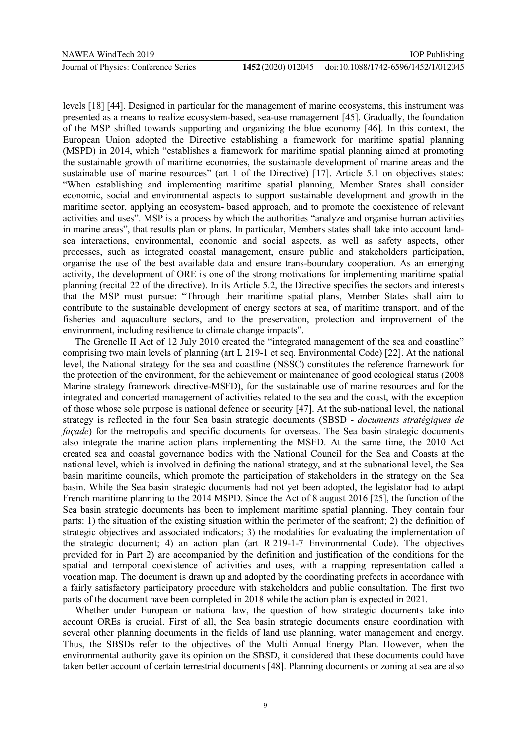levels [18] [44]. Designed in particular for the management of marine ecosystems, this instrument was presented as a means to realize ecosystem-based, sea-use management [45]. Gradually, the foundation of the MSP shifted towards supporting and organizing the blue economy [46]. In this context, the European Union adopted the Directive establishing a framework for maritime spatial planning (MSPD) in 2014, which "establishes a framework for maritime spatial planning aimed at promoting the sustainable growth of maritime economies, the sustainable development of marine areas and the sustainable use of marine resources" (art 1 of the Directive) [17]. Article 5.1 on objectives states: "When establishing and implementing maritime spatial planning, Member States shall consider economic, social and environmental aspects to support sustainable development and growth in the maritime sector, applying an ecosystem- based approach, and to promote the coexistence of relevant activities and uses". MSP is a process by which the authorities "analyze and organise human activities in marine areas", that results plan or plans. In particular, Members states shall take into account landsea interactions, environmental, economic and social aspects, as well as safety aspects, other processes, such as integrated coastal management, ensure public and stakeholders participation, organise the use of the best available data and ensure trans-boundary cooperation. As an emerging activity, the development of ORE is one of the strong motivations for implementing maritime spatial planning (recital 22 of the directive). In its Article 5.2, the Directive specifies the sectors and interests that the MSP must pursue: "Through their maritime spatial plans, Member States shall aim to contribute to the sustainable development of energy sectors at sea, of maritime transport, and of the fisheries and aquaculture sectors, and to the preservation, protection and improvement of the environment, including resilience to climate change impacts".

The Grenelle II Act of 12 July 2010 created the "integrated management of the sea and coastline" comprising two main levels of planning (art L 219-1 et seq. Environmental Code) [22]. At the national level, the National strategy for the sea and coastline (NSSC) constitutes the reference framework for the protection of the environment, for the achievement or maintenance of good ecological status (2008 Marine strategy framework directive-MSFD), for the sustainable use of marine resources and for the integrated and concerted management of activities related to the sea and the coast, with the exception of those whose sole purpose is national defence or security [47]. At the sub-national level, the national strategy is reflected in the four Sea basin strategic documents (SBSD - *documents stratégiques de façade*) for the metropolis and specific documents for overseas. The Sea basin strategic documents also integrate the marine action plans implementing the MSFD. At the same time, the 2010 Act created sea and coastal governance bodies with the National Council for the Sea and Coasts at the national level, which is involved in defining the national strategy, and at the subnational level, the Sea basin maritime councils, which promote the participation of stakeholders in the strategy on the Sea basin. While the Sea basin strategic documents had not yet been adopted, the legislator had to adapt French maritime planning to the 2014 MSPD. Since the Act of 8 august 2016 [25], the function of the Sea basin strategic documents has been to implement maritime spatial planning. They contain four parts: 1) the situation of the existing situation within the perimeter of the seafront; 2) the definition of strategic objectives and associated indicators; 3) the modalities for evaluating the implementation of the strategic document; 4) an action plan (art R 219-1-7 Environmental Code). The objectives provided for in Part 2) are accompanied by the definition and justification of the conditions for the spatial and temporal coexistence of activities and uses, with a mapping representation called a vocation map. The document is drawn up and adopted by the coordinating prefects in accordance with a fairly satisfactory participatory procedure with stakeholders and public consultation. The first two parts of the document have been completed in 2018 while the action plan is expected in 2021.

Whether under European or national law, the question of how strategic documents take into account OREs is crucial. First of all, the Sea basin strategic documents ensure coordination with several other planning documents in the fields of land use planning, water management and energy. Thus, the SBSDs refer to the objectives of the Multi Annual Energy Plan. However, when the environmental authority gave its opinion on the SBSD, it considered that these documents could have taken better account of certain terrestrial documents [48]. Planning documents or zoning at sea are also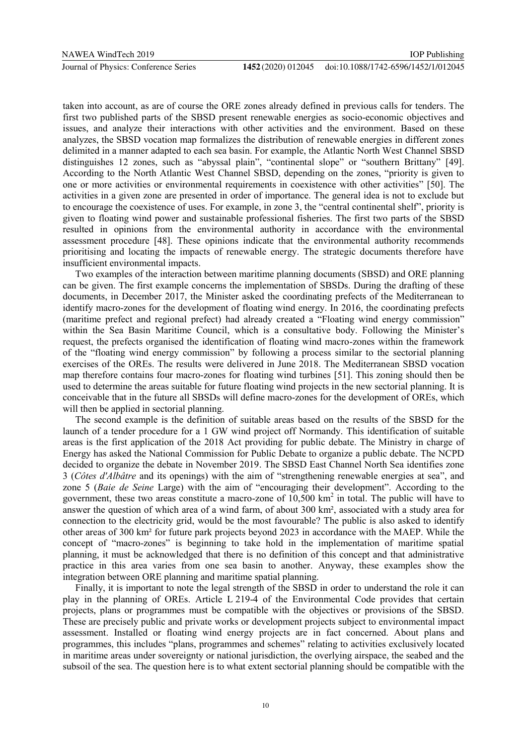taken into account, as are of course the ORE zones already defined in previous calls for tenders. The first two published parts of the SBSD present renewable energies as socio-economic objectives and issues, and analyze their interactions with other activities and the environment. Based on these analyzes, the SBSD vocation map formalizes the distribution of renewable energies in different zones delimited in a manner adapted to each sea basin. For example, the Atlantic North West Channel SBSD distinguishes 12 zones, such as "abyssal plain", "continental slope" or "southern Brittany" [49]. According to the North Atlantic West Channel SBSD, depending on the zones, "priority is given to one or more activities or environmental requirements in coexistence with other activities" [50]. The activities in a given zone are presented in order of importance. The general idea is not to exclude but to encourage the coexistence of uses. For example, in zone 3, the "central continental shelf", priority is given to floating wind power and sustainable professional fisheries. The first two parts of the SBSD resulted in opinions from the environmental authority in accordance with the environmental assessment procedure [48]. These opinions indicate that the environmental authority recommends prioritising and locating the impacts of renewable energy. The strategic documents therefore have insufficient environmental impacts.

Two examples of the interaction between maritime planning documents (SBSD) and ORE planning can be given. The first example concerns the implementation of SBSDs. During the drafting of these documents, in December 2017, the Minister asked the coordinating prefects of the Mediterranean to identify macro-zones for the development of floating wind energy. In 2016, the coordinating prefects (maritime prefect and regional prefect) had already created a "Floating wind energy commission" within the Sea Basin Maritime Council, which is a consultative body. Following the Minister's request, the prefects organised the identification of floating wind macro-zones within the framework of the "floating wind energy commission" by following a process similar to the sectorial planning exercises of the OREs. The results were delivered in June 2018. The Mediterranean SBSD vocation map therefore contains four macro-zones for floating wind turbines [51]. This zoning should then be used to determine the areas suitable for future floating wind projects in the new sectorial planning. It is conceivable that in the future all SBSDs will define macro-zones for the development of OREs, which will then be applied in sectorial planning.

The second example is the definition of suitable areas based on the results of the SBSD for the launch of a tender procedure for a 1 GW wind project off Normandy. This identification of suitable areas is the first application of the 2018 Act providing for public debate. The Ministry in charge of Energy has asked the National Commission for Public Debate to organize a public debate. The NCPD decided to organize the debate in November 2019. The SBSD East Channel North Sea identifies zone 3 (*Côtes d'Albâtre* and its openings) with the aim of "strengthening renewable energies at sea", and zone 5 (*Baie de Seine* Large) with the aim of "encouraging their development". According to the government, these two areas constitute a macro-zone of  $10,500 \text{ km}^2$  in total. The public will have to answer the question of which area of a wind farm, of about 300 km², associated with a study area for connection to the electricity grid, would be the most favourable? The public is also asked to identify other areas of 300 km² for future park projects beyond 2023 in accordance with the MAEP. While the concept of "macro-zones" is beginning to take hold in the implementation of maritime spatial planning, it must be acknowledged that there is no definition of this concept and that administrative practice in this area varies from one sea basin to another. Anyway, these examples show the integration between ORE planning and maritime spatial planning.

Finally, it is important to note the legal strength of the SBSD in order to understand the role it can play in the planning of OREs. Article L 219-4 of the Environmental Code provides that certain projects, plans or programmes must be compatible with the objectives or provisions of the SBSD. These are precisely public and private works or development projects subject to environmental impact assessment. Installed or floating wind energy projects are in fact concerned. About plans and programmes, this includes "plans, programmes and schemes" relating to activities exclusively located in maritime areas under sovereignty or national jurisdiction, the overlying airspace, the seabed and the subsoil of the sea. The question here is to what extent sectorial planning should be compatible with the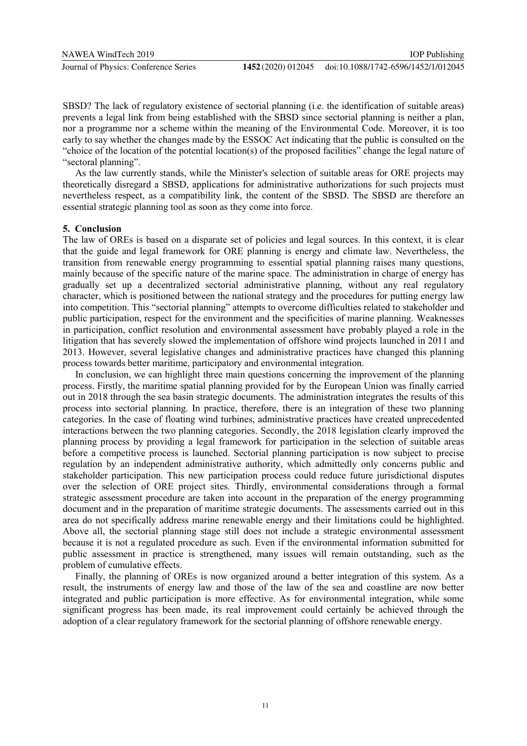SBSD? The lack of regulatory existence of sectorial planning (i.e. the identification of suitable areas) prevents a legal link from being established with the SBSD since sectorial planning is neither a plan, nor a programme nor a scheme within the meaning of the Environmental Code. Moreover, it is too early to say whether the changes made by the ESSOC Act indicating that the public is consulted on the "choice of the location of the potential location(s) of the proposed facilities" change the legal nature of "sectoral planning".

As the law currently stands, while the Minister's selection of suitable areas for ORE projects may theoretically disregard a SBSD, applications for administrative authorizations for such projects must nevertheless respect, as a compatibility link, the content of the SBSD. The SBSD are therefore an essential strategic planning tool as soon as they come into force.

## **5. Conclusion**

The law of OREs is based on a disparate set of policies and legal sources. In this context, it is clear that the guide and legal framework for ORE planning is energy and climate law. Nevertheless, the transition from renewable energy programming to essential spatial planning raises many questions, mainly because of the specific nature of the marine space. The administration in charge of energy has gradually set up a decentralized sectorial administrative planning, without any real regulatory character, which is positioned between the national strategy and the procedures for putting energy law into competition. This "sectorial planning" attempts to overcome difficulties related to stakeholder and public participation, respect for the environment and the specificities of marine planning. Weaknesses in participation, conflict resolution and environmental assessment have probably played a role in the litigation that has severely slowed the implementation of offshore wind projects launched in 2011 and 2013. However, several legislative changes and administrative practices have changed this planning process towards better maritime, participatory and environmental integration.

In conclusion, we can highlight three main questions concerning the improvement of the planning process. Firstly, the maritime spatial planning provided for by the European Union was finally carried out in 2018 through the sea basin strategic documents. The administration integrates the results of this process into sectorial planning. In practice, therefore, there is an integration of these two planning categories. In the case of floating wind turbines, administrative practices have created unprecedented interactions between the two planning categories. Secondly, the 2018 legislation clearly improved the planning process by providing a legal framework for participation in the selection of suitable areas before a competitive process is launched. Sectorial planning participation is now subject to precise regulation by an independent administrative authority, which admittedly only concerns public and stakeholder participation. This new participation process could reduce future jurisdictional disputes over the selection of ORE project sites. Thirdly, environmental considerations through a formal strategic assessment procedure are taken into account in the preparation of the energy programming document and in the preparation of maritime strategic documents. The assessments carried out in this area do not specifically address marine renewable energy and their limitations could be highlighted. Above all, the sectorial planning stage still does not include a strategic environmental assessment because it is not a regulated procedure as such. Even if the environmental information submitted for public assessment in practice is strengthened, many issues will remain outstanding, such as the problem of cumulative effects.

Finally, the planning of OREs is now organized around a better integration of this system. As a result, the instruments of energy law and those of the law of the sea and coastline are now better integrated and public participation is more effective. As for environmental integration, while some significant progress has been made, its real improvement could certainly be achieved through the adoption of a clear regulatory framework for the sectorial planning of offshore renewable energy.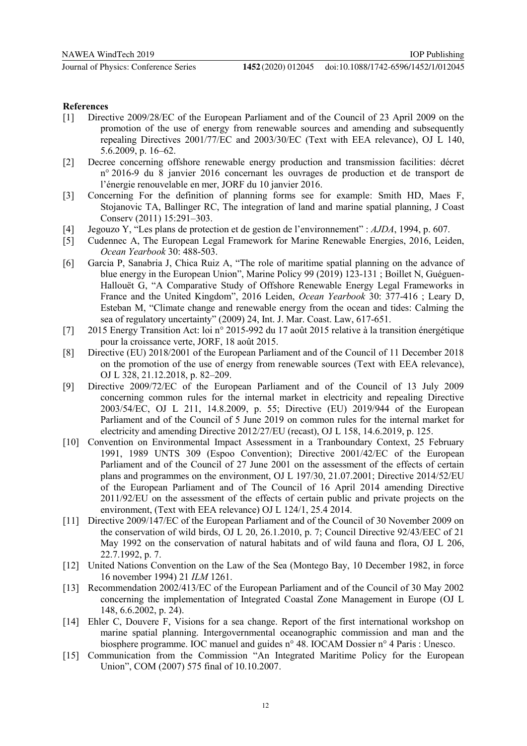#### **References**

- [1] Directive 2009/28/EC of the European Parliament and of the Council of 23 April 2009 on the promotion of the use of energy from renewable sources and amending and subsequently repealing Directives 2001/77/EC and 2003/30/EC (Text with EEA relevance), OJ L 140, 5.6.2009, p. 16–62.
- [2] Decree concerning offshore renewable energy production and transmission facilities: décret n° 2016-9 du 8 janvier 2016 concernant les ouvrages de production et de transport de l'énergie renouvelable en mer, JORF du 10 janvier 2016.
- [3] Concerning For the definition of planning forms see for example: Smith HD, Maes F, Stojanovic TA, Ballinger RC, The integration of land and marine spatial planning, J Coast Conserv (2011) 15:291–303.
- [4] Jegouzo Y, "Les plans de protection et de gestion de l'environnement" : *AJDA*, 1994, p. 607.
- [5] Cudennec A, The European Legal Framework for Marine Renewable Energies, 2016, Leiden, *Ocean Yearbook* 30: 488-503.
- [6] Garcia P, Sanabria J, Chica Ruiz A, "The role of maritime spatial planning on the advance of blue energy in the European Union", Marine Policy 99 (2019) 123-131 ; Boillet N, Guéguen-Hallouët G, "A Comparative Study of Offshore Renewable Energy Legal Frameworks in France and the United Kingdom", 2016 Leiden, *Ocean Yearbook* 30: 377-416 ; Leary D, Esteban M, "Climate change and renewable energy from the ocean and tides: Calming the sea of regulatory uncertainty" (2009) 24, Int. J. Mar. Coast. Law, 617-651.
- [7] 2015 Energy Transition Act: loi n° 2015-992 du 17 août 2015 relative à la transition énergétique pour la croissance verte, JORF, 18 août 2015.
- [8] Directive (EU) 2018/2001 of the European Parliament and of the Council of 11 December 2018 on the promotion of the use of energy from renewable sources (Text with EEA relevance), OJ L 328, 21.12.2018, p. 82–209.
- [9] Directive 2009/72/EC of the European Parliament and of the Council of 13 July 2009 concerning common rules for the internal market in electricity and repealing Directive 2003/54/EC, OJ L 211, 14.8.2009, p. 55; Directive (EU) 2019/944 of the European Parliament and of the Council of 5 June 2019 on common rules for the internal market for electricity and amending Directive 2012/27/EU (recast), OJ L 158, 14.6.2019, p. 125.
- [10] Convention on Environmental Impact Assessment in a Tranboundary Context, 25 February 1991, 1989 UNTS 309 (Espoo Convention); Directive 2001/42/EC of the European Parliament and of the Council of 27 June 2001 on the assessment of the effects of certain plans and programmes on the environment, OJ L 197/30, 21.07.2001; Directive 2014/52/EU of the European Parliament and of The Council of 16 April 2014 amending Directive 2011/92/EU on the assessment of the effects of certain public and private projects on the environment, (Text with EEA relevance) OJ L 124/1, 25.4 2014.
- [11] Directive 2009/147/EC of the European Parliament and of the Council of 30 November 2009 on the conservation of wild birds, OJ L 20, 26.1.2010, p. 7; Council Directive 92/43/EEC of 21 May 1992 on the conservation of natural habitats and of wild fauna and flora, OJ L 206, 22.7.1992, p. 7.
- [12] United Nations Convention on the Law of the Sea (Montego Bay, 10 December 1982, in force 16 november 1994) 21 *ILM* 1261.
- [13] Recommendation 2002/413/EC of the European Parliament and of the Council of 30 May 2002 concerning the implementation of Integrated Coastal Zone Management in Europe (OJ L 148, 6.6.2002, p. 24).
- [14] Ehler C, Douvere F, Visions for a sea change. Report of the first international workshop on marine spatial planning. Intergovernmental oceanographic commission and man and the biosphere programme. IOC manuel and guides n° 48. IOCAM Dossier n° 4 Paris : Unesco.
- [15] Communication from the Commission "An Integrated Maritime Policy for the European Union", COM (2007) 575 final of 10.10.2007.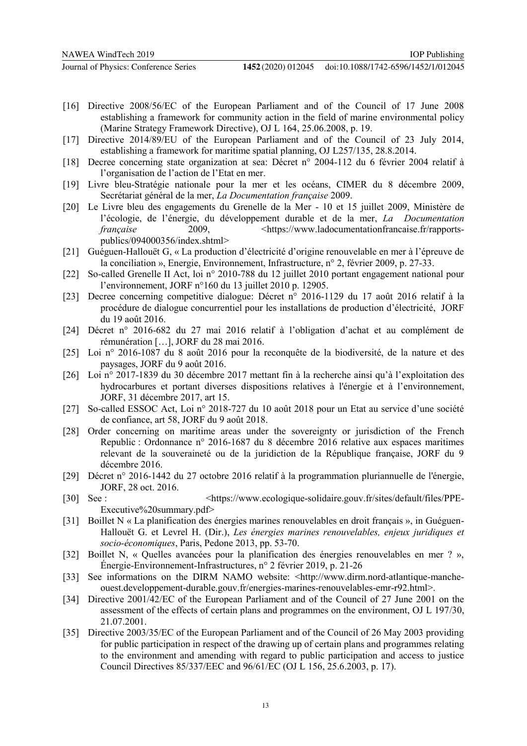- [16] Directive 2008/56/EC of the European Parliament and of the Council of 17 June 2008 establishing a framework for community action in the field of marine environmental policy (Marine Strategy Framework Directive), OJ L 164, 25.06.2008, p. 19.
- [17] Directive 2014/89/EU of the European Parliament and of the Council of 23 July 2014, establishing a framework for maritime spatial planning, OJ L257/135, 28.8.2014.
- [18] Decree concerning state organization at sea: Décret n° 2004-112 du 6 février 2004 relatif à l'organisation de l'action de l'Etat en mer.
- [19] Livre bleu-Stratégie nationale pour la mer et les océans, CIMER du 8 décembre 2009, Secrétariat général de la mer, *La Documentation française* 2009.
- [20] Le Livre bleu des engagements du Grenelle de la Mer 10 et 15 juillet 2009, Ministère de l'écologie, de l'énergie, du développement durable et de la mer, *La Documentation française* 2009, https://www.ladocumentationfrancaise.fr/rapportspublics/094000356/index.shtml>
- [21] Guéguen-Hallouët G, « La production d'électricité d'origine renouvelable en mer à l'épreuve de la conciliation », Energie, Environnement, Infrastructure, n° 2, février 2009, p. 27-33.
- [22] So-called Grenelle II Act, loi n° 2010-788 du 12 juillet 2010 portant engagement national pour l'environnement, JORF n°160 du 13 juillet 2010 p. 12905.
- [23] Decree concerning competitive dialogue: Décret n° 2016-1129 du 17 août 2016 relatif à la procédure de dialogue concurrentiel pour les installations de production d'électricité, JORF du 19 août 2016.
- [24] Décret n° 2016-682 du 27 mai 2016 relatif à l'obligation d'achat et au complément de rémunération […], JORF du 28 mai 2016.
- [25] Loi n° 2016-1087 du 8 août 2016 pour la reconquête de la biodiversité, de la nature et des paysages, JORF du 9 août 2016.
- [26] Loi n° 2017-1839 du 30 décembre 2017 mettant fin à la recherche ainsi qu'à l'exploitation des hydrocarbures et portant diverses dispositions relatives à l'énergie et à l'environnement, JORF, 31 décembre 2017, art 15.
- [27] So-called ESSOC Act, Loi n° 2018-727 du 10 août 2018 pour un Etat au service d'une société de confiance, art 58, JORF du 9 août 2018.
- [28] Order concerning on maritime areas under the sovereignty or jurisdiction of the French Republic : Ordonnance n° 2016-1687 du 8 décembre 2016 relative aux espaces maritimes relevant de la souveraineté ou de la juridiction de la République française, JORF du 9 décembre 2016.
- [29] Décret n° 2016-1442 du 27 octobre 2016 relatif à la programmation pluriannuelle de l'énergie, JORF, 28 oct. 2016.
- [30] See : <https://www.ecologique-solidaire.gouv.fr/sites/default/files/PPE-Executive%20summary.pdf>
- [31] Boillet N « La planification des énergies marines renouvelables en droit français », in Guéguen-Hallouët G. et Levrel H. (Dir.), *Les énergies marines renouvelables, enjeux juridiques et socio-économiques*, Paris, Pedone 2013, pp. 53-70.
- [32] Boillet N, « Quelles avancées pour la planification des énergies renouvelables en mer ? », Énergie-Environnement-Infrastructures, n° 2 février 2019, p. 21-26
- [33] See informations on the DIRM NAMO website: <http://www.dirm.nord-atlantique-mancheouest.developpement-durable.gouv.fr/energies-marines-renouvelables-emr-r92.html>.
- [34] Directive 2001/42/EC of the European Parliament and of the Council of 27 June 2001 on the assessment of the effects of certain plans and programmes on the environment, OJ L 197/30, 21.07.2001.
- [35] Directive 2003/35/EC of the European Parliament and of the Council of 26 May 2003 providing for public participation in respect of the drawing up of certain plans and programmes relating to the environment and amending with regard to public participation and access to justice Council Directives 85/337/EEC and 96/61/EC (OJ L 156, 25.6.2003, p. 17).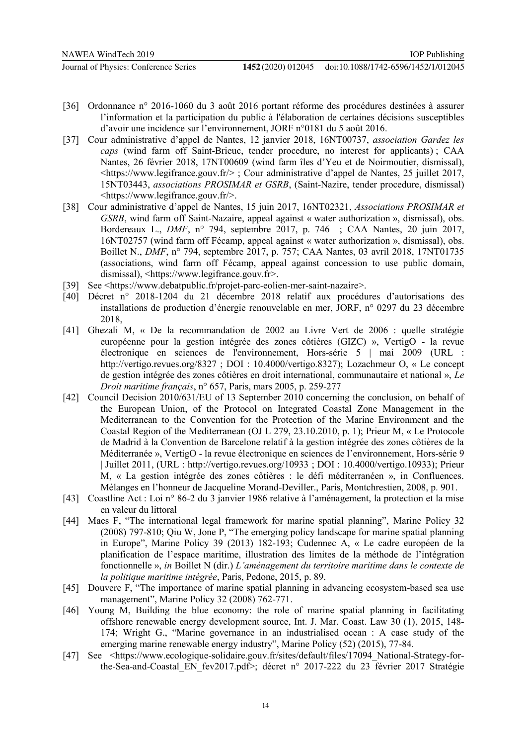- [36] Ordonnance n° 2016-1060 du 3 août 2016 portant réforme des procédures destinées à assurer l'information et la participation du public à l'élaboration de certaines décisions susceptibles d'avoir une incidence sur l'environnement, JORF n°0181 du 5 août 2016.
- [37] Cour administrative d'appel de Nantes, 12 janvier 2018, 16NT00737, *association Gardez les caps* (wind farm off Saint-Brieuc, tender procedure, no interest for applicants) ; CAA Nantes, 26 février 2018, 17NT00609 (wind farm îles d'Yeu et de Noirmoutier, dismissal), <https://www.legifrance.gouv.fr/> ; Cour administrative d'appel de Nantes, 25 juillet 2017, 15NT03443, *associations PROSIMAR et GSRB*, (Saint-Nazire, tender procedure, dismissal) <https://www.legifrance.gouv.fr/>.
- [38] Cour administrative d'appel de Nantes, 15 juin 2017, 16NT02321, *Associations PROSIMAR et GSRB*, wind farm off Saint-Nazaire, appeal against « water authorization », dismissal), obs. Bordereaux L., *DMF*, n° 794, septembre 2017, p. 746 ; CAA Nantes, 20 juin 2017, 16NT02757 (wind farm off Fécamp, appeal against « water authorization », dismissal), obs. Boillet N., *DMF*, n° 794, septembre 2017, p. 757; CAA Nantes, 03 avril 2018, 17NT01735 (associations, wind farm off Fécamp, appeal against concession to use public domain, dismissal), <https://www.legifrance.gouv.fr>.
- [39] See <https://www.debatpublic.fr/projet-parc-eolien-mer-saint-nazaire>.
- [40] Décret n° 2018-1204 du 21 décembre 2018 relatif aux procédures d'autorisations des installations de production d'énergie renouvelable en mer, JORF, n° 0297 du 23 décembre 2018,
- [41] Ghezali M, « De la recommandation de 2002 au Livre Vert de 2006 : quelle stratégie européenne pour la gestion intégrée des zones côtières (GIZC) », VertigO - la revue électronique en sciences de l'environnement, Hors-série 5 | mai 2009 (URL : http://vertigo.revues.org/8327 ; DOI : 10.4000/vertigo.8327); Lozachmeur O, « Le concept de gestion intégrée des zones côtières en droit international, communautaire et national », *Le Droit maritime français*, n° 657, Paris, mars 2005, p. 259-277
- [42] Council Decision 2010/631/EU of 13 September 2010 concerning the conclusion, on behalf of the European Union, of the Protocol on Integrated Coastal Zone Management in the Mediterranean to the Convention for the Protection of the Marine Environment and the Coastal Region of the Mediterranean (OJ L 279, 23.10.2010, p. 1); Prieur M, « Le Protocole de Madrid à la Convention de Barcelone relatif à la gestion intégrée des zones côtières de la Méditerranée », VertigO - la revue électronique en sciences de l'environnement, Hors-série 9 | Juillet 2011, (URL : http://vertigo.revues.org/10933 ; DOI : 10.4000/vertigo.10933); Prieur M, « La gestion intégrée des zones côtières : le défi méditerranéen », in Confluences. Mélanges en l'honneur de Jacqueline Morand-Deviller., Paris, Montchrestien, 2008, p. 901.
- [43] Coastline Act : Loi n° 86-2 du 3 janvier 1986 relative à l'aménagement, la protection et la mise en valeur du littoral
- [44] Maes F, "The international legal framework for marine spatial planning", Marine Policy 32 (2008) 797-810; Qiu W, Jone P, "The emerging policy landscape for marine spatial planning in Europe", Marine Policy 39 (2013) 182-193; Cudennec A, « Le cadre européen de la planification de l'espace maritime, illustration des limites de la méthode de l'intégration fonctionnelle », *in* Boillet N (dir.) *L'aménagement du territoire maritime dans le contexte de la politique maritime intégrée*, Paris, Pedone, 2015, p. 89.
- [45] Douvere F, "The importance of marine spatial planning in advancing ecosystem-based sea use management", Marine Policy 32 (2008) 762-771.
- [46] Young M, Building the blue economy: the role of marine spatial planning in facilitating offshore renewable energy development source, Int. J. Mar. Coast. Law 30 (1), 2015, 148- 174; Wright G., "Marine governance in an industrialised ocean : A case study of the emerging marine renewable energy industry", Marine Policy (52) (2015), 77-84.
- [47] See <https://www.ecologique-solidaire.gouv.fr/sites/default/files/17094\_National-Strategy-forthe-Sea-and-Coastal\_EN\_fev2017.pdf>; décret n° 2017-222 du 23 février 2017 Stratégie